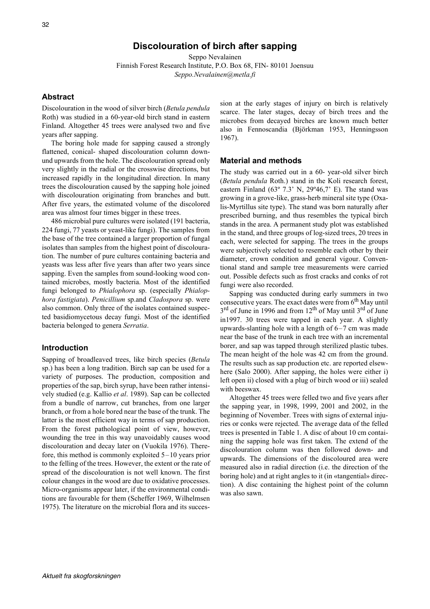Seppo Nevalainen Finnish Forest Research Institute, P.O. Box 68, FIN- 80101 Joensuu *Seppo.Nevalainen@metla.fi*

## **Abstract**

Discolouration in the wood of silver birch (*Betula pendula* Roth) was studied in a 60-year-old birch stand in eastern Finland. Altogether 45 trees were analysed two and five years after sapping.

The boring hole made for sapping caused a strongly flattened, conical- shaped discolouration column downund upwards from the hole. The discolouration spread only very slightly in the radial or the crosswise directions, but increased rapidly in the longitudinal direction. In many trees the discolouration caused by the sapping hole joined with discolouration originating from branches and butt. After five years, the estimated volume of the discolored area was almost four times bigger in these trees.

486 microbial pure cultures were isolated (191 bacteria, 224 fungi, 77 yeasts or yeast-like fungi). The samples from the base of the tree contained a larger proportion of fungal isolates than samples from the highest point of discolouration. The number of pure cultures containing bacteria and yeasts was less after five years than after two years since sapping. Even the samples from sound-looking wood contained microbes, mostly bacteria. Most of the identified fungi belonged to *Phialophora* sp. (especially *Phialophora fastigiata*). *Penicillium* sp.and *Cladospora* sp. were also common. Only three of the isolates contained suspected basidiomycetous decay fungi. Most of the identified bacteria belonged to genera *Serratia*.

### **Introduction**

Sapping of broadleaved trees, like birch species (*Betula* sp.) has been a long tradition. Birch sap can be used for a variety of purposes. The production, composition and properties of the sap, birch syrup, have been rather intensively studied (e.g. Kallio *et al*. 1989). Sap can be collected from a bundle of narrow, cut branches, from one larger branch, or from a hole bored near the base of the trunk. The latter is the most efficient way in terms of sap production. From the forest pathological point of view, however, wounding the tree in this way unavoidably causes wood discolouration and decay later on (Vuokila 1976). Therefore, this method is commonly exploited 5–10 years prior to the felling of the trees. However, the extent or the rate of spread of the discolouration is not well known. The first colour changes in the wood are due to oxidative processes. Micro-organisms appear later, if the environmental conditions are favourable for them (Scheffer 1969, Wilhelmsen 1975). The literature on the microbial flora and its succession at the early stages of injury on birch is relatively scarce. The later stages, decay of birch trees and the microbes from decayed birches are known much better also in Fennoscandia (Björkman 1953, Henningsson 1967).

#### **Material and methods**

The study was carried out in a 60- year-old silver birch (*Betula pendula* Roth.) stand in the Koli research forest, eastern Finland (63 $^{\circ}$  7.3' N, 29 $^{\circ}$ 46,7' E). The stand was growing in a grove-like, grass-herb mineral site type (Oxalis-Myrtillus site type). The stand was born naturally after prescribed burning, and thus resembles the typical birch stands in the area. A permanent study plot was established in the stand, and three groups of log-sized trees, 20 trees in each, were selected for sapping. The trees in the groups were subjectively selected to resemble each other by their diameter, crown condition and general vigour. Conventional stand and sample tree measurements were carried out. Possible defects such as frost cracks and conks of rot fungi were also recorded.

Sapping was conducted during early summers in two consecutive years. The exact dates were from  $6<sup>th</sup>$  May until 3<sup>rd</sup> of June in 1996 and from 12<sup>th</sup> of May until 3<sup>rd</sup> of June in1997. 30 trees were tapped in each year. A slightly upwards-slanting hole with a length of 6–7 cm was made near the base of the trunk in each tree with an incremental borer, and sap was tapped through sterilized plastic tubes. The mean height of the hole was 42 cm from the ground. The results such as sap production etc. are reported elsewhere (Salo 2000). After sapping, the holes were either i) left open ii) closed with a plug of birch wood or iii) sealed with beeswax.

Altogether 45 trees were felled two and five years after the sapping year, in 1998, 1999, 2001 and 2002, in the beginning of November. Trees with signs of external injuries or conks were rejected. The average data of the felled trees is presented in Table 1. A disc of about 10 cm containing the sapping hole was first taken. The extend of the discolouration column was then followed down- and upwards. The dimensions of the discoloured area were measured also in radial direction (i.e. the direction of the boring hole) and at right angles to it (in «tangential» direction). A disc containing the highest point of the column was also sawn.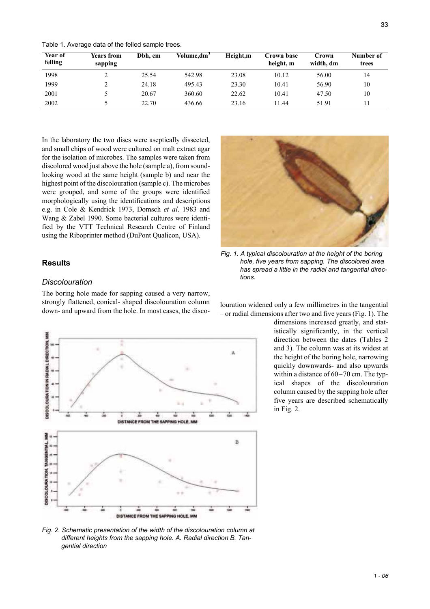Table 1. Average data of the felled sample trees.

| Year of<br>felling | <b>Years from</b><br>sapping | Dbh. cm | Volume, $dm^3$ | Height,m | Crown base<br>height, m | Crown<br>width, dm | Number of<br>trees |
|--------------------|------------------------------|---------|----------------|----------|-------------------------|--------------------|--------------------|
| 1998               |                              | 25.54   | 542.98         | 23.08    | 10.12                   | 56.00              | 14                 |
| 1999               |                              | 24.18   | 495.43         | 23.30    | 10.41                   | 56.90              | 10                 |
| 2001               |                              | 20.67   | 360.60         | 22.62    | 10.41                   | 47.50              | 10                 |
| 2002               |                              | 22.70   | 436.66         | 23.16    | 11.44                   | 51.91              | 11                 |

In the laboratory the two discs were aseptically dissected, and small chips of wood were cultured on malt extract agar for the isolation of microbes. The samples were taken from discolored wood just above the hole (sample a), from soundlooking wood at the same height (sample b) and near the highest point of the discolouration (sample c). The microbes were grouped, and some of the groups were identified morphologically using the identifications and descriptions e.g. in Cole & Kendrick 1973, Domsch *et al*. 1983 and Wang & Zabel 1990. Some bacterial cultures were identified by the VTT Technical Research Centre of Finland using the Riboprinter method (DuPont Qualicon, USA).

#### **Results**

#### *Discolouration*

The boring hole made for sapping caused a very narrow, strongly flattened, conical- shaped discolouration column strongly flattened, conical- shaped discolouration column<br>down- and upward from the hole. In most cases, the disco-<br>or redial dimensions after two and five years (Eig. 1). The



*Fig. 2. Schematic presentation of the width of the discolouration column at different heights from the sapping hole. A. Radial direction B. Tangential direction*



*Fig. 1. A typical discolouration at the height of the boring hole, five years from sapping. The discolored area has spread a little in the radial and tangential directions.*

– or radial dimensions after two and five years (Fig. 1). The

dimensions increased greatly, and statistically significantly, in the vertical direction between the dates (Tables 2 and 3). The column was at its widest at the height of the boring hole, narrowing quickly downwards- and also upwards within a distance of 60–70 cm. The typical shapes of the discolouration column caused by the sapping hole after five years are described schematically in Fig. 2.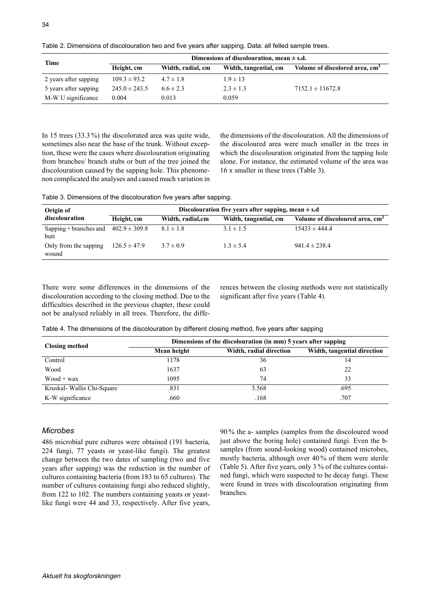| Time                  | Dimensions of discolouration, mean $\pm$ s.d.            |               |                                            |                      |  |  |
|-----------------------|----------------------------------------------------------|---------------|--------------------------------------------|----------------------|--|--|
|                       | Height, cm<br>Width, radial, cm<br>Width, tangential, cm |               | Volume of discolored area, cm <sup>3</sup> |                      |  |  |
| 2 years after sapping | $109.3 \pm 93.2$                                         | $4.7 \pm 1.8$ | $1.9 \pm 13$                               |                      |  |  |
| 5 years after sapping | $245.0 \pm 243.5$                                        | $6.6 \pm 2.3$ | $2.3 \pm 1.3$                              | $7152.1 \pm 11672.8$ |  |  |
| M-W U significance    | 0.004                                                    | 0.013         | 0.059                                      |                      |  |  |

Table 2. Dimensions of discolouration two and five years after sapping. Data: all felled sample trees.

In 15 trees (33.3 %) the discolorated area was quite wide, sometimes also near the base of the trunk. Without exception, these were the cases where discolouration originating from branches/ branch stubs or butt of the tree joined the discolouration caused by the sapping hole. This phenomenon complicated the analyses and caused much variation in the dimensions of the discolouration. All the dimensions of the discoloured area were much smaller in the trees in which the discolouration originated from the tapping hole alone. For instance, the estimated volume of the area was 16 x smaller in these trees (Table 3).

Table 3. Dimensions of the discolouration five years after sapping.

| Origin of                      | Discolouration five years after sapping, mean $\pm$ s.d |                   |                       |                                             |  |  |
|--------------------------------|---------------------------------------------------------|-------------------|-----------------------|---------------------------------------------|--|--|
| discolouration                 | Height, cm                                              | Width, radial, cm | Width, tangential, cm | Volume of discoloured area, cm <sup>3</sup> |  |  |
| Sapping + branches and<br>butt | $402.9 \pm 309.8$                                       | $8.1 \pm 1.8$     | $3.1 \pm 1.5$         | $15433 \pm 444.4$                           |  |  |
| Only from the sapping<br>wound | $126.5 \pm 47.9$                                        | $3.7 \pm 0.9$     | $1.3 \pm 5.4$         | $941.4 \pm 238.4$                           |  |  |

There were some differences in the dimensions of the discolouration according to the closing method. Due to the difficulties described in the previous chapter, these could not be analysed reliably in all trees. Therefore, the differences between the closing methods were not statistically significant after five years (Table 4).

Table 4. The dimensions of the discolouration by different closing method, five years after sapping

| <b>Closing method</b>      | Dimensions of the discolouration (in mm) 5 years after sapping |                         |                             |  |  |  |
|----------------------------|----------------------------------------------------------------|-------------------------|-----------------------------|--|--|--|
|                            | Mean height                                                    | Width, radial direction | Width, tangential direction |  |  |  |
| Control                    | 1178                                                           | 36                      | 14                          |  |  |  |
| Wood                       | 1637                                                           | 63                      | 22                          |  |  |  |
| $Wood + wax$               | 1095                                                           | 74                      | 33                          |  |  |  |
| Kruskal- Wallis Chi-Square | .831                                                           | 3.568                   | .695                        |  |  |  |
| K-W significance           | .660                                                           | .168                    | .707                        |  |  |  |

## *Microbes*

486 microbial pure cultures were obtained (191 bacteria, 224 fungi, 77 yeasts or yeast-like fungi). The greatest change between the two dates of sampling (two and five years after sapping) was the reduction in the number of cultures containing bacteria (from 183 to 65 cultures). The number of cultures containing fungi also reduced slightly, from 122 to 102. The numbers containing yeasts or yeastlike fungi were 44 and 33, respectively. After five years,

90 % the a- samples (samples from the discoloured wood just above the boring hole) contained fungi. Even the bsamples (from sound-looking wood) contained microbes, mostly bacteria, although over 40 % of them were sterile (Table 5). After five years, only 3 % of the cultures contained fungi, which were suspected to be decay fungi. These were found in trees with discolouration originating from branches.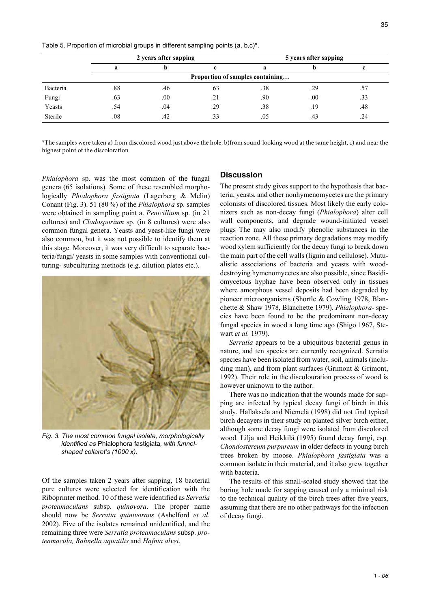Table 5. Proportion of microbial groups in different sampling points (a, b,c)\*.

|          | 2 years after sapping            |     |     | 5 years after sapping |     |     |  |
|----------|----------------------------------|-----|-----|-----------------------|-----|-----|--|
|          |                                  |     |     |                       |     |     |  |
|          | Proportion of samples containing |     |     |                       |     |     |  |
| Bacteria | .88                              | .46 | .63 | .38                   | .29 |     |  |
| Fungi    | .63                              | .00 | .21 | .90                   | .00 | .33 |  |
| Yeasts   | .54                              | .04 | .29 | .38                   | .19 | .48 |  |
| Sterile  | .08                              | .42 | .33 | .05                   | .43 | .24 |  |

\*The samples were taken a) from discolored wood just above the hole, b)from sound-looking wood at the same height, c) and near the highest point of the discoloration

*Phialophora* sp. was the most common of the fungal genera (65 isolations). Some of these resembled morphologically *Phialophora fastigiata* (Lagerberg & Melin) Conant (Fig. 3). 51 (80 %) of the *Phialophora* sp. samples were obtained in sampling point a. *Penicillium* sp. (in 21 cultures) and *Cladosporium* sp. (in 8 cultures) were also common fungal genera. Yeasts and yeast-like fungi were also common, but it was not possible to identify them at this stage. Moreover, it was very difficult to separate bacteria/fungi/ yeasts in some samples with conventional culturing- subculturing methods (e.g. dilution plates etc.).



*Fig. 3. The most common fungal isolate, morphologically identified as* Phialophora fastigiata*, with funnelshaped collaret's (1000 x).*

Of the samples taken 2 years after sapping, 18 bacterial pure cultures were selected for identification with the Riboprinter method. 10 of these were identified as *Serratia proteamaculans* subsp. *quinovora*. The proper name should now be *Serratia quinivorans* (Ashelford *et al.* 2002). Five of the isolates remained unidentified, and the remaining three were *Serratia proteamaculans* subsp. *proteamacula, Rahnella aquatilis* and *Hafnia alvei*.

#### **Discussion**

The present study gives support to the hypothesis that bacteria, yeasts, and other nonhymenomycetes are the primary colonists of discolored tissues. Most likely the early colonizers such as non-decay fungi (*Phialophora*) alter cell wall components, and degrade wound-initiated vessel plugs The may also modify phenolic substances in the reaction zone. All these primary degradations may modify wood xylem sufficiently for the decay fungi to break down the main part of the cell walls (lignin and cellulose). Mutualistic associations of bacteria and yeasts with wooddestroying hymenomycetes are also possible, since Basidiomycetous hyphae have been observed only in tissues where amorphous vessel deposits had been degraded by pioneer microorganisms (Shortle & Cowling 1978, Blanchette & Shaw 1978, Blanchette 1979). *Phialophora*- species have been found to be the predominant non-decay fungal species in wood a long time ago (Shigo 1967, Stewart *et al.* 1979).

*Serratia* appears to be a ubiquitous bacterial genus in nature, and ten species are currently recognized. Serratia species have been isolated from water, soil, animals (including man), and from plant surfaces (Grimont & Grimont, 1992). Their role in the discolouration process of wood is however unknown to the author.

There was no indication that the wounds made for sapping are infected by typical decay fungi of birch in this study. Hallaksela and Niemelä (1998) did not find typical birch decayers in their study on planted silver birch either, although some decay fungi were isolated from discolored wood. Lilja and Heikkilä (1995) found decay fungi, esp. *Chondostereum purpureum* in older defects in young birch trees broken by moose. *Phialophora fastigiata* was a common isolate in their material, and it also grew together with bacteria.

The results of this small-scaled study showed that the boring hole made for sapping caused only a minimal risk to the technical quality of the birch trees after five years, assuming that there are no other pathways for the infection of decay fungi.